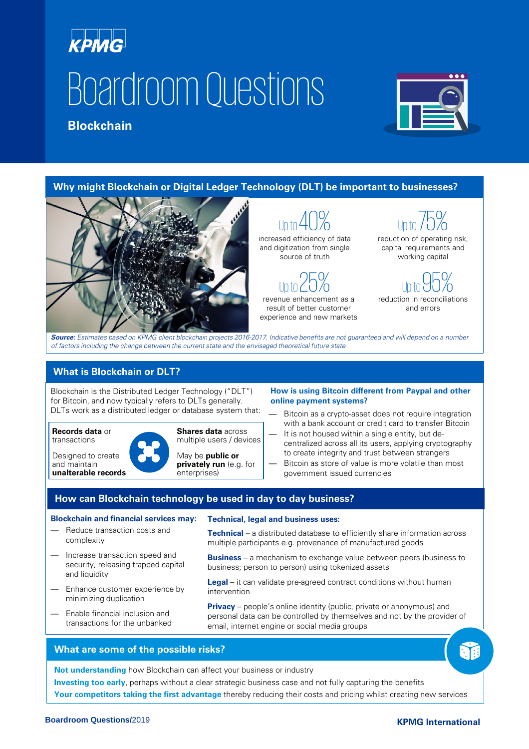# **KPMG** Boardroom Questions

## **Blockchain**



**Why might Blockchain or Digital Ledger Technology (DLT) be important to businesses?**



Up to  $40\%$ increased efficiency of data and digitization from single source of truth

Up to  $25%$ revenue enhancement as a

result of better customer experience and new markets

Up to  $75%$ reduction of operating risk, capital requirements and working capital

Up to 95% reduction in reconciliations and errors

**Source:** Estimates based on KPMG client blockchain projects 2016-2017. Indicative benefits are not guaranteed and will depend on a number of factors including the change between the current state and the envisaged theoretical future state

### **What is Blockchain or DLT?**

Blockchain is the Distributed Ledger Technology ("DLT") for Bitcoin, and now typically refers to DLTs generally. DLTs work as a distributed ledger or database system that:

**Records data** or transactions

Designed to create and maintain **unalterable records**



**Shares data** across multiple users / devices

May be **public or privately run** (e.g. for enterprises)

#### **How is using Bitcoin different from Paypal and other online payment systems?**

- Bitcoin as a crypto-asset does not require integration with a bank account or credit card to transfer Bitcoin
- It is not housed within a single entity, but decentralized across all its users, applying cryptography to create integrity and trust between strangers
- Bitcoin as store of value is more volatile than most government issued currencies

#### **How can Blockchain technology be used in day to day business?**

#### **Blockchain and financial services may:**

- Reduce transaction costs and complexity
- Increase transaction speed and security, releasing trapped capital and liquidity
- Enhance customer experience by minimizing duplication
- Enable financial inclusion and transactions for the unbanked

**Technical, legal and business uses:**

**Technical** – a distributed database to efficiently share information across multiple participants e.g. provenance of manufactured goods

**Business** – a mechanism to exchange value between peers (business to business; person to person) using tokenized assets

**Legal** – it can validate pre-agreed contract conditions without human intervention

**Privacy** – people's online identity (public, private or anonymous) and personal data can be controlled by themselves and not by the provider of email, internet engine or social media groups

#### **What are some of the possible risks?**

**Not understanding** how Blockchain can affect your business or industry

**Investing too early**, perhaps without a clear strategic business case and not fully capturing the benefits

**Your competitors taking the first advantage** thereby reducing their costs and pricing whilst creating new services

ûß